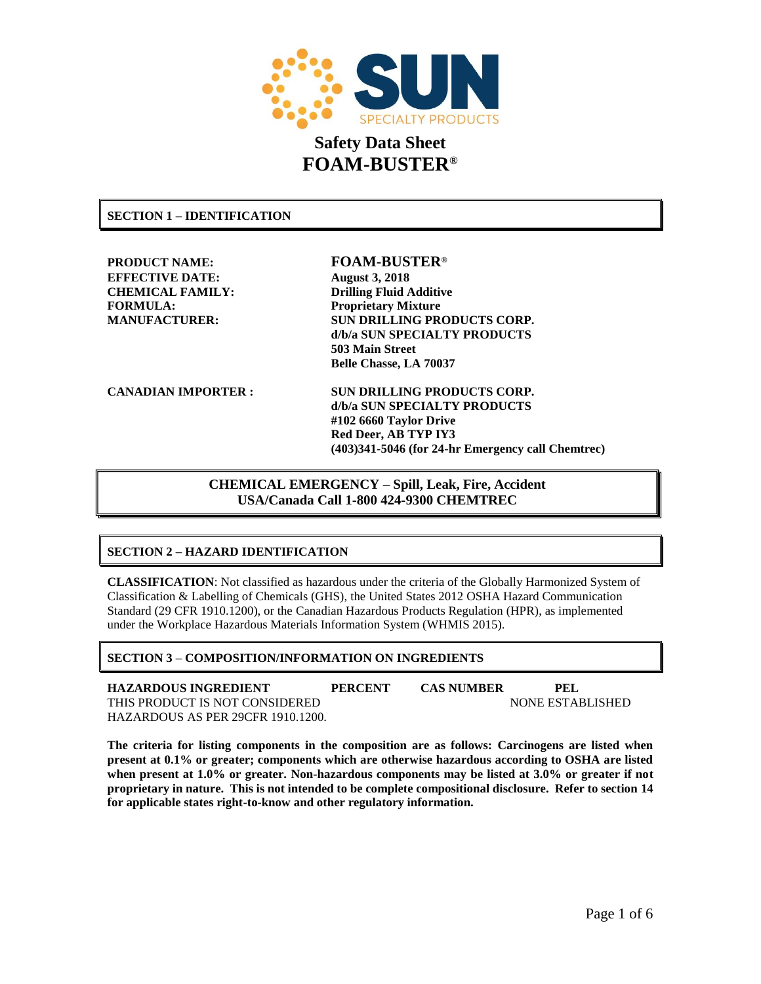

**SECTION 1 – IDENTIFICATION**

**PRODUCT NAME: FOAM-BUSTER® EFFECTIVE DATE: August 3, 2018 CHEMICAL FAMILY: Drilling Fluid Additive FORMULA: Proprietary Mixture**

**MANUFACTURER: SUN DRILLING PRODUCTS CORP. d/b/a SUN SPECIALTY PRODUCTS 503 Main Street Belle Chasse, LA 70037**

**CANADIAN IMPORTER : SUN DRILLING PRODUCTS CORP. d/b/a SUN SPECIALTY PRODUCTS #102 6660 Taylor Drive Red Deer, AB TYP IY3 (403)341-5046 (for 24-hr Emergency call Chemtrec)**

> **CHEMICAL EMERGENCY – Spill, Leak, Fire, Accident USA/Canada Call 1-800 424-9300 CHEMTREC**

# **SECTION 2 – HAZARD IDENTIFICATION**

**CLASSIFICATION**: Not classified as hazardous under the criteria of the Globally Harmonized System of Classification & Labelling of Chemicals (GHS), the United States 2012 OSHA Hazard Communication Standard (29 CFR 1910.1200), or the Canadian Hazardous Products Regulation (HPR), as implemented under the Workplace Hazardous Materials Information System (WHMIS 2015).

# **SECTION 3 – COMPOSITION/INFORMATION ON INGREDIENTS**

**HAZARDOUS INGREDIENT PERCENT CAS NUMBER PEL** THIS PRODUCT IS NOT CONSIDERED NONE ESTABLISHED HAZARDOUS AS PER 29CFR 1910.1200.

**The criteria for listing components in the composition are as follows: Carcinogens are listed when present at 0.1% or greater; components which are otherwise hazardous according to OSHA are listed when present at 1.0% or greater. Non-hazardous components may be listed at 3.0% or greater if not proprietary in nature. This is not intended to be complete compositional disclosure. Refer to section 14 for applicable states right-to-know and other regulatory information.**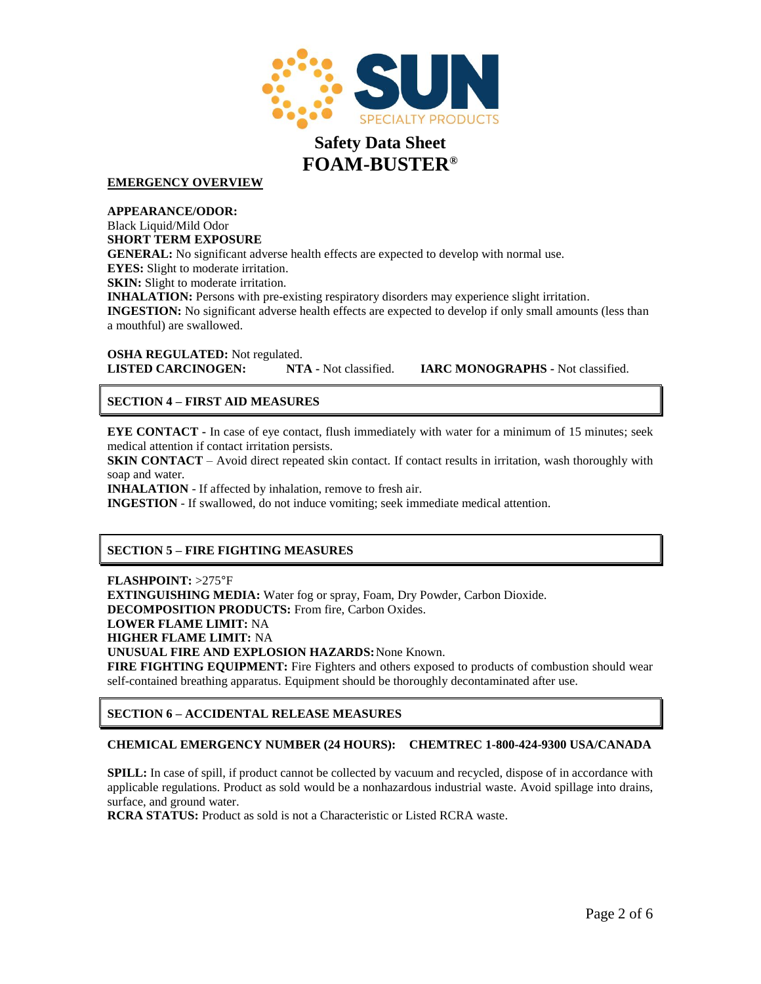

**EMERGENCY OVERVIEW**

**APPEARANCE/ODOR:** Black Liquid/Mild Odor **SHORT TERM EXPOSURE GENERAL:** No significant adverse health effects are expected to develop with normal use. **EYES:** Slight to moderate irritation. **SKIN:** Slight to moderate irritation. **INHALATION:** Persons with pre-existing respiratory disorders may experience slight irritation. **INGESTION:** No significant adverse health effects are expected to develop if only small amounts (less than a mouthful) are swallowed.

**OSHA REGULATED:** Not regulated.<br>**LISTED CARCINOGEN:** NTA - Not classified.

**LISTED CARCINOGEN: NTA -** Not classified. **IARC MONOGRAPHS -** Not classified.

# **SECTION 4 – FIRST AID MEASURES**

**EYE CONTACT** - In case of eye contact, flush immediately with water for a minimum of 15 minutes; seek medical attention if contact irritation persists.

**SKIN CONTACT** – Avoid direct repeated skin contact. If contact results in irritation, wash thoroughly with soap and water.

**INHALATION** - If affected by inhalation, remove to fresh air.

**INGESTION** - If swallowed, do not induce vomiting; seek immediate medical attention.

# **SECTION 5 – FIRE FIGHTING MEASURES**

**FLASHPOINT:** >275°F

**EXTINGUISHING MEDIA:** Water fog or spray, Foam, Dry Powder, Carbon Dioxide. **DECOMPOSITION PRODUCTS:** From fire, Carbon Oxides. **LOWER FLAME LIMIT:** NA **HIGHER FLAME LIMIT:** NA **UNUSUAL FIRE AND EXPLOSION HAZARDS:**None Known. **FIRE FIGHTING EQUIPMENT:** Fire Fighters and others exposed to products of combustion should wear

self-contained breathing apparatus. Equipment should be thoroughly decontaminated after use.

## **SECTION 6 – ACCIDENTAL RELEASE MEASURES**

## **CHEMICAL EMERGENCY NUMBER (24 HOURS): CHEMTREC 1-800-424-9300 USA/CANADA**

**SPILL:** In case of spill, if product cannot be collected by vacuum and recycled, dispose of in accordance with applicable regulations. Product as sold would be a nonhazardous industrial waste. Avoid spillage into drains, surface, and ground water.

**RCRA STATUS:** Product as sold is not a Characteristic or Listed RCRA waste.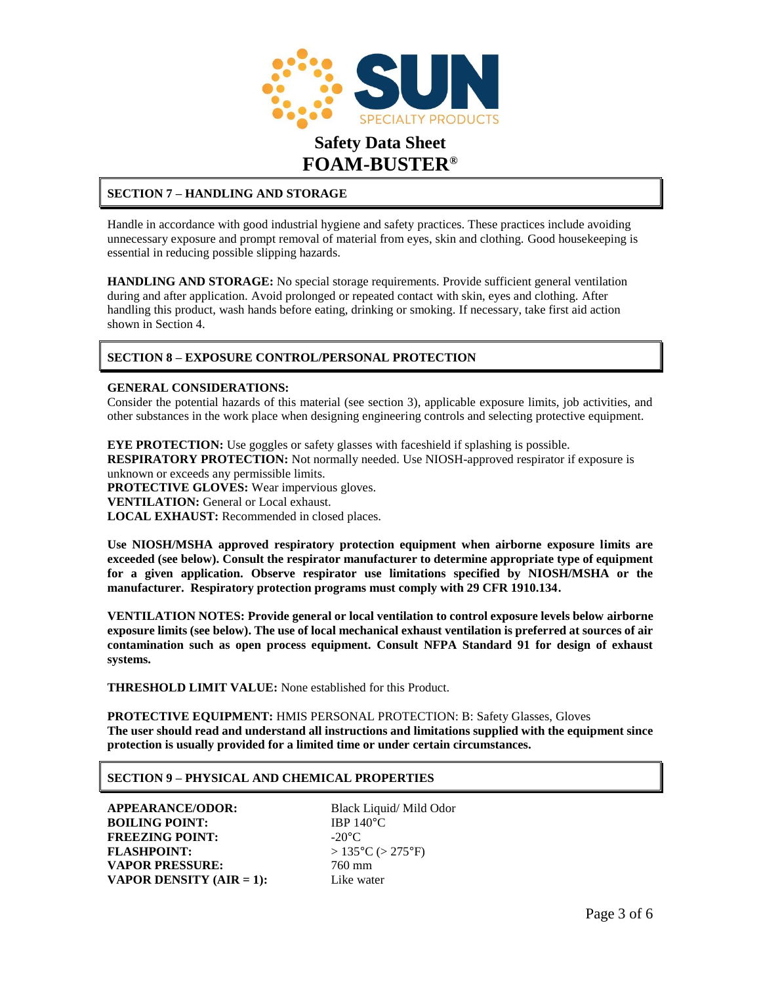

# **SECTION 7 – HANDLING AND STORAGE**

Handle in accordance with good industrial hygiene and safety practices. These practices include avoiding unnecessary exposure and prompt removal of material from eyes, skin and clothing. Good housekeeping is essential in reducing possible slipping hazards.

**HANDLING AND STORAGE:** No special storage requirements. Provide sufficient general ventilation during and after application. Avoid prolonged or repeated contact with skin, eyes and clothing. After handling this product, wash hands before eating, drinking or smoking. If necessary, take first aid action shown in Section 4.

# **SECTION 8 – EXPOSURE CONTROL/PERSONAL PROTECTION**

### **GENERAL CONSIDERATIONS:**

Consider the potential hazards of this material (see section 3), applicable exposure limits, job activities, and other substances in the work place when designing engineering controls and selecting protective equipment.

**EYE PROTECTION:** Use goggles or safety glasses with faceshield if splashing is possible. **RESPIRATORY PROTECTION:** Not normally needed. Use NIOSH-approved respirator if exposure is unknown or exceeds any permissible limits. **PROTECTIVE GLOVES:** Wear impervious gloves.

**VENTILATION:** General or Local exhaust.

**LOCAL EXHAUST:** Recommended in closed places.

**Use NIOSH/MSHA approved respiratory protection equipment when airborne exposure limits are exceeded (see below). Consult the respirator manufacturer to determine appropriate type of equipment for a given application. Observe respirator use limitations specified by NIOSH/MSHA or the manufacturer. Respiratory protection programs must comply with 29 CFR 1910.134.**

**VENTILATION NOTES: Provide general or local ventilation to control exposure levels below airborne exposure limits (see below). The use of local mechanical exhaust ventilation is preferred at sources of air contamination such as open process equipment. Consult NFPA Standard 91 for design of exhaust systems.**

**THRESHOLD LIMIT VALUE:** None established for this Product.

**PROTECTIVE EQUIPMENT:** HMIS PERSONAL PROTECTION: B: Safety Glasses, Gloves **The user should read and understand all instructions and limitations supplied with the equipment since protection is usually provided for a limited time or under certain circumstances.**

## **SECTION 9 – PHYSICAL AND CHEMICAL PROPERTIES**

**APPEARANCE/ODOR:** Black Liquid/ Mild Odor **BOILING POINT:** IBP 140°C **FREEZING POINT:**  $-20^{\circ}$ C **FLASHPOINT:**  $> 135^{\circ}C$  ( $> 275^{\circ}F$ ) **VAPOR PRESSURE:** 760 mm **VAPOR DENSITY (AIR = 1):** Like water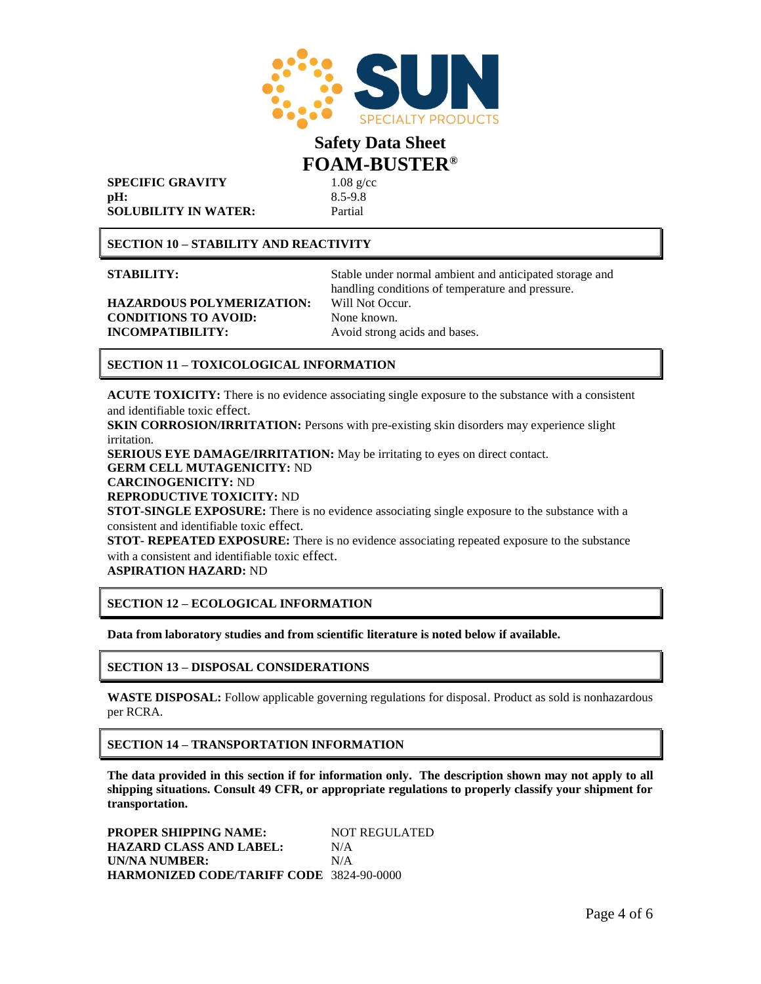

**SPECIFIC GRAVITY** 1.08 g/cc **pH:** 8.5-9.8 **SOLUBILITY IN WATER:** Partial

**SECTION 10 – STABILITY AND REACTIVITY**

**HAZARDOUS POLYMERIZATION:** Will Not Occur. **CONDITIONS TO AVOID:** None known. **INCOMPATIBILITY:** Avoid strong acids and bases.

**STABILITY:** Stable under normal ambient and anticipated storage and handling conditions of temperature and pressure.

# **SECTION 11 – TOXICOLOGICAL INFORMATION**

**ACUTE TOXICITY:** There is no evidence associating single exposure to the substance with a consistent and identifiable toxic effect.

**SKIN CORROSION/IRRITATION:** Persons with pre-existing skin disorders may experience slight irritation. **SERIOUS EYE DAMAGE/IRRITATION:** May be irritating to eyes on direct contact.

**GERM CELL MUTAGENICITY:** ND

**CARCINOGENICITY:** ND

**REPRODUCTIVE TOXICITY:** ND

**STOT-SINGLE EXPOSURE:** There is no evidence associating single exposure to the substance with a consistent and identifiable toxic effect.

**STOT- REPEATED EXPOSURE:** There is no evidence associating repeated exposure to the substance with a consistent and identifiable toxic effect.

**ASPIRATION HAZARD:** ND

## **SECTION 12 – ECOLOGICAL INFORMATION**

**Data from laboratory studies and from scientific literature is noted below if available.**

## **SECTION 13 – DISPOSAL CONSIDERATIONS**

**WASTE DISPOSAL:** Follow applicable governing regulations for disposal. Product as sold is nonhazardous per RCRA.

## **SECTION 14 – TRANSPORTATION INFORMATION**

**The data provided in this section if for information only. The description shown may not apply to all shipping situations. Consult 49 CFR, or appropriate regulations to properly classify your shipment for transportation.**

**PROPER SHIPPING NAME: NOT REGULATED HAZARD CLASS AND LABEL:** N/A **UN/NA NUMBER:** N/A **HARMONIZED CODE/TARIFF CODE** 3824-90-0000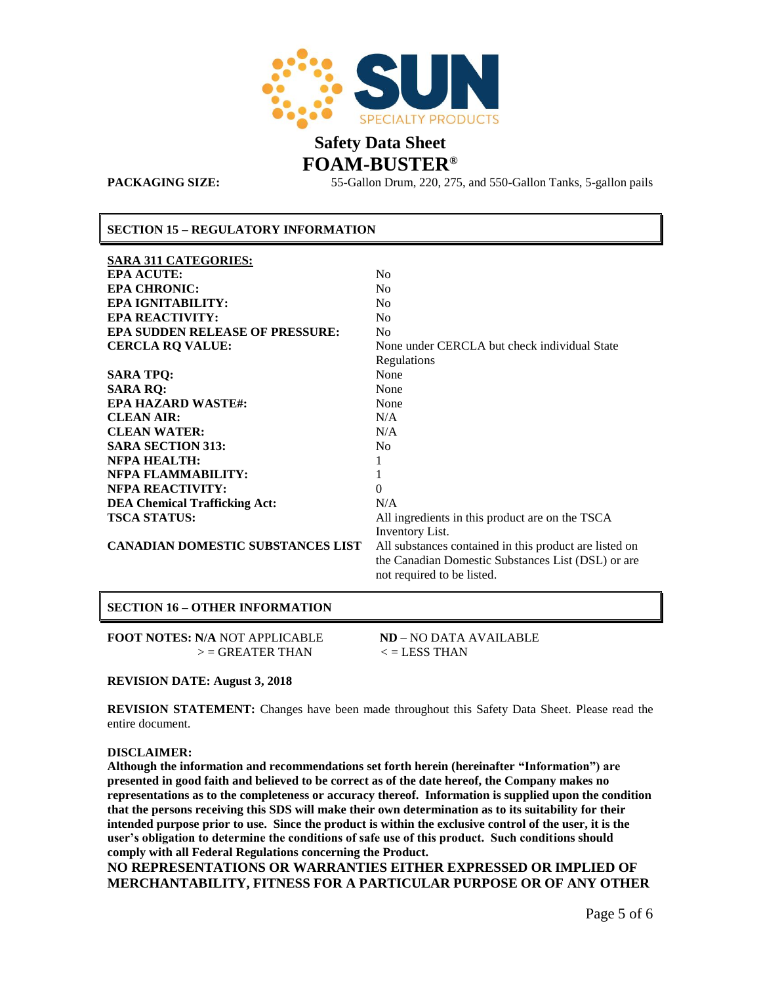

**PACKAGING SIZE:** 55-Gallon Drum, 220, 275, and 550-Gallon Tanks, 5-gallon pails

### **SECTION 15 – REGULATORY INFORMATION**

| <b>SARA 311 CATEGORIES:</b>              |                                                        |
|------------------------------------------|--------------------------------------------------------|
| <b>EPA ACUTE:</b>                        | N <sub>0</sub>                                         |
| <b>EPA CHRONIC:</b>                      | N <sub>0</sub>                                         |
| <b>EPA IGNITABILITY:</b>                 | N <sub>0</sub>                                         |
| <b>EPA REACTIVITY:</b>                   | N <sub>0</sub>                                         |
| <b>EPA SUDDEN RELEASE OF PRESSURE:</b>   | N <sub>0</sub>                                         |
| <b>CERCLA RQ VALUE:</b>                  | None under CERCLA but check individual State           |
|                                          | Regulations                                            |
| <b>SARA TPQ:</b>                         | None                                                   |
| <b>SARA RO:</b>                          | None                                                   |
| <b>EPA HAZARD WASTE#:</b>                | None                                                   |
| <b>CLEAN AIR:</b>                        | N/A                                                    |
| <b>CLEAN WATER:</b>                      | N/A                                                    |
| <b>SARA SECTION 313:</b>                 | N <sub>0</sub>                                         |
| <b>NFPA HEALTH:</b>                      | 1                                                      |
| NFPA FLAMMABILITY:                       | 1                                                      |
| <b>NFPA REACTIVITY:</b>                  | $\theta$                                               |
| <b>DEA Chemical Trafficking Act:</b>     | N/A                                                    |
| <b>TSCA STATUS:</b>                      | All ingredients in this product are on the TSCA        |
|                                          | Inventory List.                                        |
| <b>CANADIAN DOMESTIC SUBSTANCES LIST</b> | All substances contained in this product are listed on |
|                                          | the Canadian Domestic Substances List (DSL) or are     |
|                                          | not required to be listed.                             |
|                                          |                                                        |

# **SECTION 16 – OTHER INFORMATION**

**FOOT NOTES: N/A** NOT APPLICABLE **ND** – NO DATA AVAILABLE  $>$  = GREATER THAN  $\lt$  = LESS THAN

### **REVISION DATE: August 3, 2018**

**REVISION STATEMENT:** Changes have been made throughout this Safety Data Sheet. Please read the entire document.

### **DISCLAIMER:**

**Although the information and recommendations set forth herein (hereinafter "Information") are presented in good faith and believed to be correct as of the date hereof, the Company makes no representations as to the completeness or accuracy thereof. Information is supplied upon the condition that the persons receiving this SDS will make their own determination as to its suitability for their intended purpose prior to use. Since the product is within the exclusive control of the user, it is the user's obligation to determine the conditions of safe use of this product. Such conditions should comply with all Federal Regulations concerning the Product.** 

**NO REPRESENTATIONS OR WARRANTIES EITHER EXPRESSED OR IMPLIED OF MERCHANTABILITY, FITNESS FOR A PARTICULAR PURPOSE OR OF ANY OTHER**